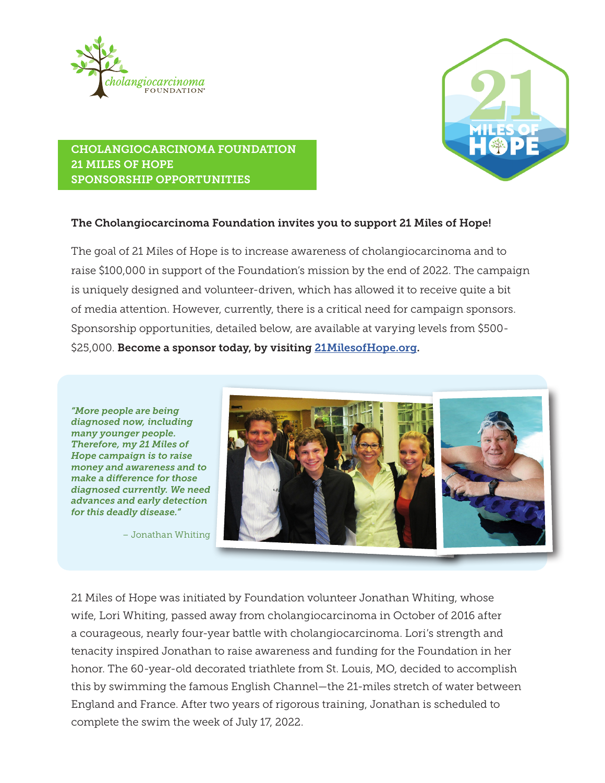



# CHOLANGIOCARCINOMA FOUNDATION 21 MILES OF HOPE SPONSORSHIP OPPORTUNITIES

## The Cholangiocarcinoma Foundation invites you to support 21 Miles of Hope!

The goal of 21 Miles of Hope is to increase awareness of cholangiocarcinoma and to raise \$100,000 in support of the Foundation's mission by the end of 2022. The campaign is uniquely designed and volunteer-driven, which has allowed it to receive quite a bit of media attention. However, currently, there is a critical need for campaign sponsors. Sponsorship opportunities, detailed below, are available at varying levels from \$500- \$25,000. Become a sponsor today, by visiting [21MilesofHope.org](http://21MilesofHope.org).

*"More people are being diagnosed now, including many younger people. Therefore, my 21 Miles of Hope campaign is to raise money and awareness and to make a difference for those diagnosed currently. We need advances and early detection for this deadly disease."* 

– Jonathan Whiting



21 Miles of Hope was initiated by Foundation volunteer Jonathan Whiting, whose wife, Lori Whiting, passed away from cholangiocarcinoma in October of 2016 after a courageous, nearly four-year battle with cholangiocarcinoma. Lori's strength and tenacity inspired Jonathan to raise awareness and funding for the Foundation in her honor. The 60-year-old decorated triathlete from St. Louis, MO, decided to accomplish this by swimming the famous English Channel—the 21-miles stretch of water between England and France. After two years of rigorous training, Jonathan is scheduled to complete the swim the week of July 17, 2022.